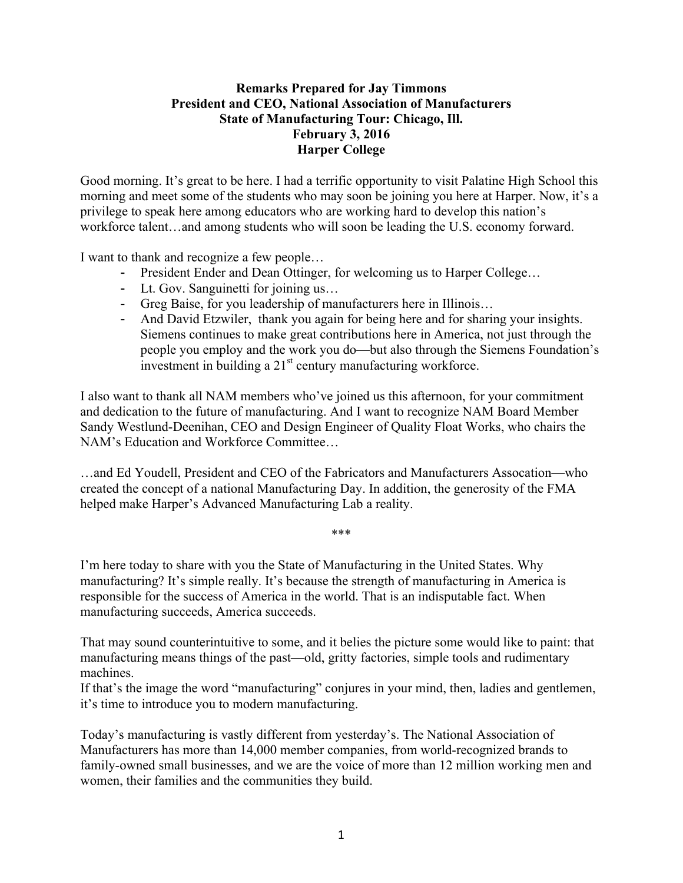## **Remarks Prepared for Jay Timmons President and CEO, National Association of Manufacturers State of Manufacturing Tour: Chicago, Ill. February 3, 2016 Harper College**

Good morning. It's great to be here. I had a terrific opportunity to visit Palatine High School this morning and meet some of the students who may soon be joining you here at Harper. Now, it's a privilege to speak here among educators who are working hard to develop this nation's workforce talent…and among students who will soon be leading the U.S. economy forward.

I want to thank and recognize a few people…

- President Ender and Dean Ottinger, for welcoming us to Harper College...
- Lt. Gov. Sanguinetti for joining us...
- Greg Baise, for you leadership of manufacturers here in Illinois…
- And David Etzwiler, thank you again for being here and for sharing your insights. Siemens continues to make great contributions here in America, not just through the people you employ and the work you do—but also through the Siemens Foundation's investment in building a 21<sup>st</sup> century manufacturing workforce.

I also want to thank all NAM members who've joined us this afternoon, for your commitment and dedication to the future of manufacturing. And I want to recognize NAM Board Member Sandy Westlund-Deenihan, CEO and Design Engineer of Quality Float Works, who chairs the NAM's Education and Workforce Committee…

…and Ed Youdell, President and CEO of the Fabricators and Manufacturers Assocation—who created the concept of a national Manufacturing Day. In addition, the generosity of the FMA helped make Harper's Advanced Manufacturing Lab a reality.

\*\*\*

I'm here today to share with you the State of Manufacturing in the United States. Why manufacturing? It's simple really. It's because the strength of manufacturing in America is responsible for the success of America in the world. That is an indisputable fact. When manufacturing succeeds, America succeeds.

That may sound counterintuitive to some, and it belies the picture some would like to paint: that manufacturing means things of the past—old, gritty factories, simple tools and rudimentary machines.

If that's the image the word "manufacturing" conjures in your mind, then, ladies and gentlemen, it's time to introduce you to modern manufacturing.

Today's manufacturing is vastly different from yesterday's. The National Association of Manufacturers has more than 14,000 member companies, from world-recognized brands to family-owned small businesses, and we are the voice of more than 12 million working men and women, their families and the communities they build.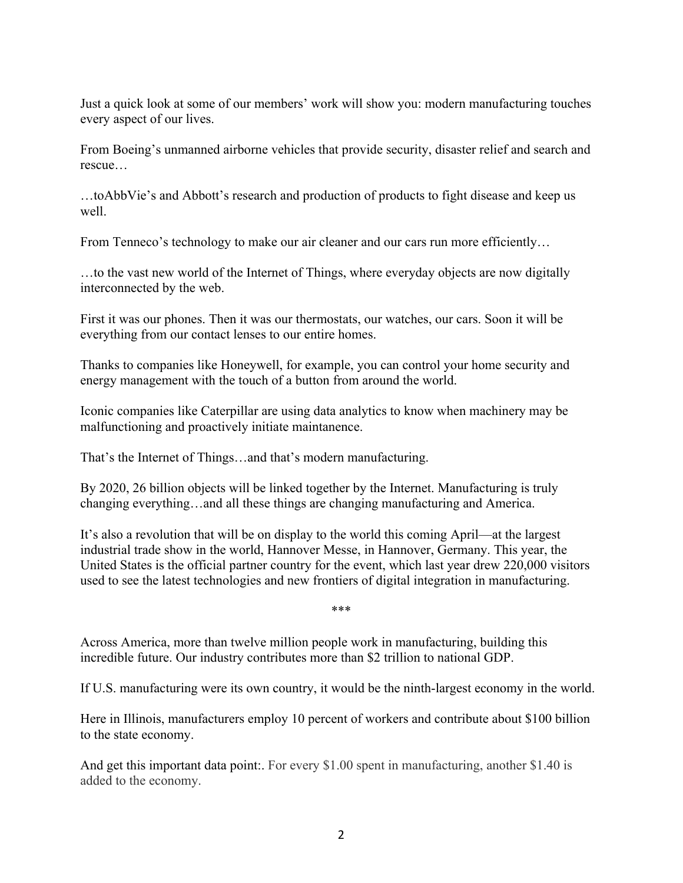Just a quick look at some of our members' work will show you: modern manufacturing touches every aspect of our lives.

From Boeing's unmanned airborne vehicles that provide security, disaster relief and search and rescue…

…toAbbVie's and Abbott's research and production of products to fight disease and keep us well.

From Tenneco's technology to make our air cleaner and our cars run more efficiently…

…to the vast new world of the Internet of Things, where everyday objects are now digitally interconnected by the web.

First it was our phones. Then it was our thermostats, our watches, our cars. Soon it will be everything from our contact lenses to our entire homes.

Thanks to companies like Honeywell, for example, you can control your home security and energy management with the touch of a button from around the world.

Iconic companies like Caterpillar are using data analytics to know when machinery may be malfunctioning and proactively initiate maintanence.

That's the Internet of Things…and that's modern manufacturing.

By 2020, 26 billion objects will be linked together by the Internet. Manufacturing is truly changing everything…and all these things are changing manufacturing and America.

It's also a revolution that will be on display to the world this coming April—at the largest industrial trade show in the world, Hannover Messe, in Hannover, Germany. This year, the United States is the official partner country for the event, which last year drew 220,000 visitors used to see the latest technologies and new frontiers of digital integration in manufacturing.

\*\*\*

Across America, more than twelve million people work in manufacturing, building this incredible future. Our industry contributes more than \$2 trillion to national GDP.

If U.S. manufacturing were its own country, it would be the ninth-largest economy in the world.

Here in Illinois, manufacturers employ 10 percent of workers and contribute about \$100 billion to the state economy.

And get this important data point:. For every \$1.00 spent in manufacturing, another \$1.40 is added to the economy.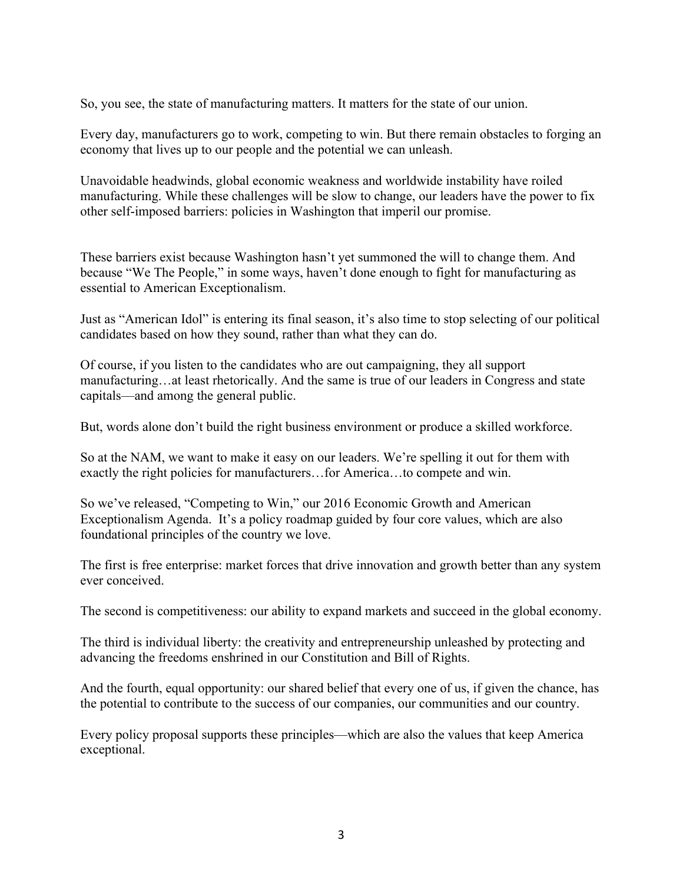So, you see, the state of manufacturing matters. It matters for the state of our union.

Every day, manufacturers go to work, competing to win. But there remain obstacles to forging an economy that lives up to our people and the potential we can unleash.

Unavoidable headwinds, global economic weakness and worldwide instability have roiled manufacturing. While these challenges will be slow to change, our leaders have the power to fix other self-imposed barriers: policies in Washington that imperil our promise.

These barriers exist because Washington hasn't yet summoned the will to change them. And because "We The People," in some ways, haven't done enough to fight for manufacturing as essential to American Exceptionalism.

Just as "American Idol" is entering its final season, it's also time to stop selecting of our political candidates based on how they sound, rather than what they can do.

Of course, if you listen to the candidates who are out campaigning, they all support manufacturing…at least rhetorically. And the same is true of our leaders in Congress and state capitals—and among the general public.

But, words alone don't build the right business environment or produce a skilled workforce.

So at the NAM, we want to make it easy on our leaders. We're spelling it out for them with exactly the right policies for manufacturers…for America…to compete and win.

So we've released, "Competing to Win," our 2016 Economic Growth and American Exceptionalism Agenda. It's a policy roadmap guided by four core values, which are also foundational principles of the country we love.

The first is free enterprise: market forces that drive innovation and growth better than any system ever conceived.

The second is competitiveness: our ability to expand markets and succeed in the global economy.

The third is individual liberty: the creativity and entrepreneurship unleashed by protecting and advancing the freedoms enshrined in our Constitution and Bill of Rights.

And the fourth, equal opportunity: our shared belief that every one of us, if given the chance, has the potential to contribute to the success of our companies, our communities and our country.

Every policy proposal supports these principles—which are also the values that keep America exceptional.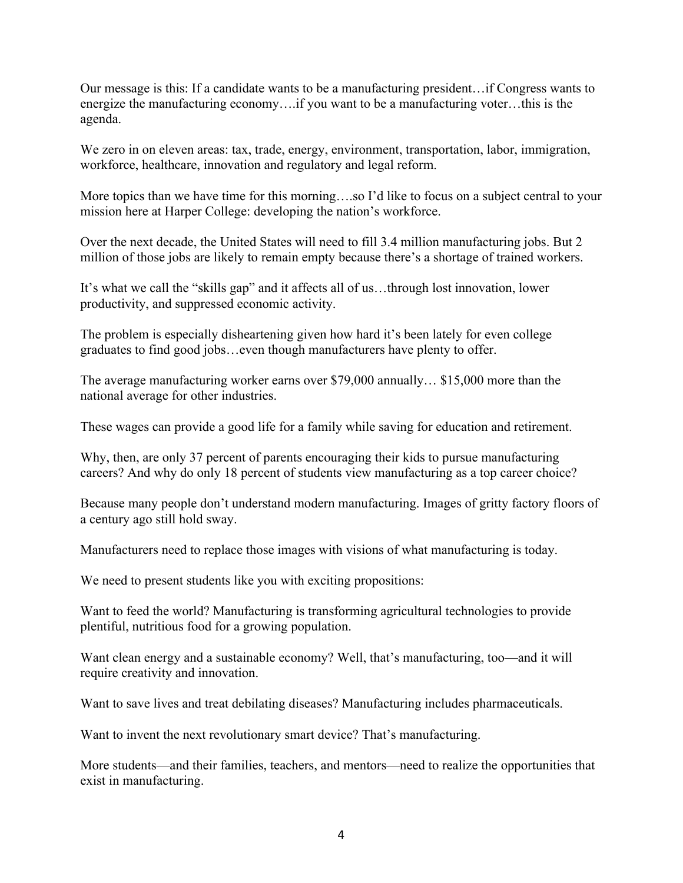Our message is this: If a candidate wants to be a manufacturing president…if Congress wants to energize the manufacturing economy….if you want to be a manufacturing voter…this is the agenda.

We zero in on eleven areas: tax, trade, energy, environment, transportation, labor, immigration, workforce, healthcare, innovation and regulatory and legal reform.

More topics than we have time for this morning….so I'd like to focus on a subject central to your mission here at Harper College: developing the nation's workforce.

Over the next decade, the United States will need to fill 3.4 million manufacturing jobs. But 2 million of those jobs are likely to remain empty because there's a shortage of trained workers.

It's what we call the "skills gap" and it affects all of us…through lost innovation, lower productivity, and suppressed economic activity.

The problem is especially disheartening given how hard it's been lately for even college graduates to find good jobs…even though manufacturers have plenty to offer.

The average manufacturing worker earns over \$79,000 annually… \$15,000 more than the national average for other industries.

These wages can provide a good life for a family while saving for education and retirement.

Why, then, are only 37 percent of parents encouraging their kids to pursue manufacturing careers? And why do only 18 percent of students view manufacturing as a top career choice?

Because many people don't understand modern manufacturing. Images of gritty factory floors of a century ago still hold sway.

Manufacturers need to replace those images with visions of what manufacturing is today.

We need to present students like you with exciting propositions:

Want to feed the world? Manufacturing is transforming agricultural technologies to provide plentiful, nutritious food for a growing population.

Want clean energy and a sustainable economy? Well, that's manufacturing, too—and it will require creativity and innovation.

Want to save lives and treat debilating diseases? Manufacturing includes pharmaceuticals.

Want to invent the next revolutionary smart device? That's manufacturing.

More students—and their families, teachers, and mentors—need to realize the opportunities that exist in manufacturing.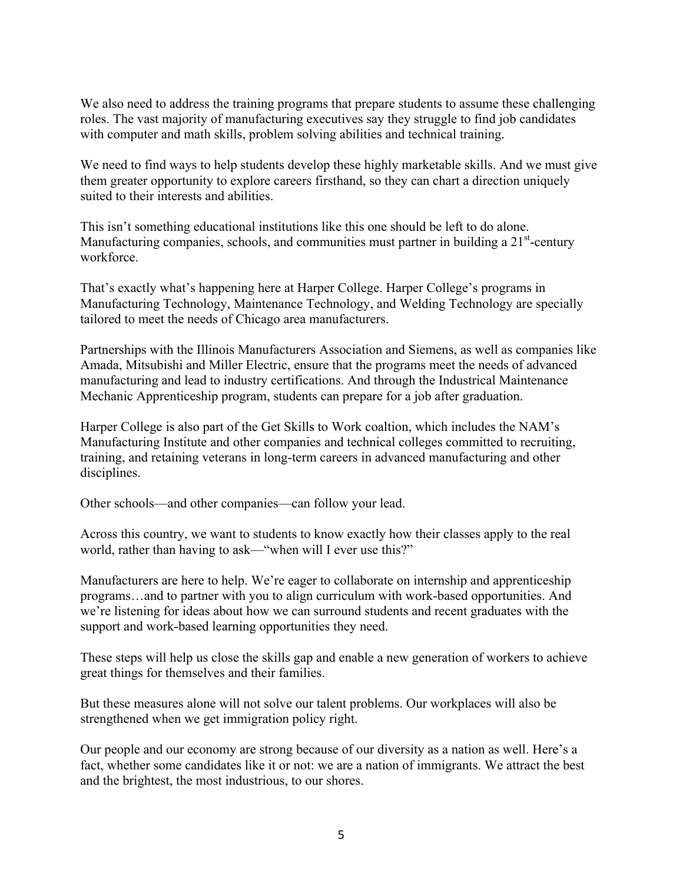We also need to address the training programs that prepare students to assume these challenging roles. The vast majority of manufacturing executives say they struggle to find job candidates with computer and math skills, problem solving abilities and technical training.

We need to find ways to help students develop these highly marketable skills. And we must give them greater opportunity to explore careers firsthand, so they can chart a direction uniquely suited to their interests and abilities.

This isn't something educational institutions like this one should be left to do alone. Manufacturing companies, schools, and communities must partner in building a  $21<sup>st</sup>$ -century workforce.

That's exactly what's happening here at Harper College. Harper College's programs in Manufacturing Technology, Maintenance Technology, and Welding Technology are specially tailored to meet the needs of Chicago area manufacturers.

Partnerships with the Illinois Manufacturers Association and Siemens, as well as companies like Amada, Mitsubishi and Miller Electric, ensure that the programs meet the needs of advanced manufacturing and lead to industry certifications. And through the Industrical Maintenance Mechanic Apprenticeship program, students can prepare for a job after graduation.

Harper College is also part of the Get Skills to Work coaltion, which includes the NAM's Manufacturing Institute and other companies and technical colleges committed to recruiting, training, and retaining veterans in long-term careers in advanced manufacturing and other disciplines.

Other schools—and other companies—can follow your lead.

Across this country, we want to students to know exactly how their classes apply to the real world, rather than having to ask—"when will I ever use this?"

Manufacturers are here to help. We're eager to collaborate on internship and apprenticeship programs…and to partner with you to align curriculum with work-based opportunities. And we're listening for ideas about how we can surround students and recent graduates with the support and work-based learning opportunities they need.

These steps will help us close the skills gap and enable a new generation of workers to achieve great things for themselves and their families.

But these measures alone will not solve our talent problems. Our workplaces will also be strengthened when we get immigration policy right.

Our people and our economy are strong because of our diversity as a nation as well. Here's a fact, whether some candidates like it or not: we are a nation of immigrants. We attract the best and the brightest, the most industrious, to our shores.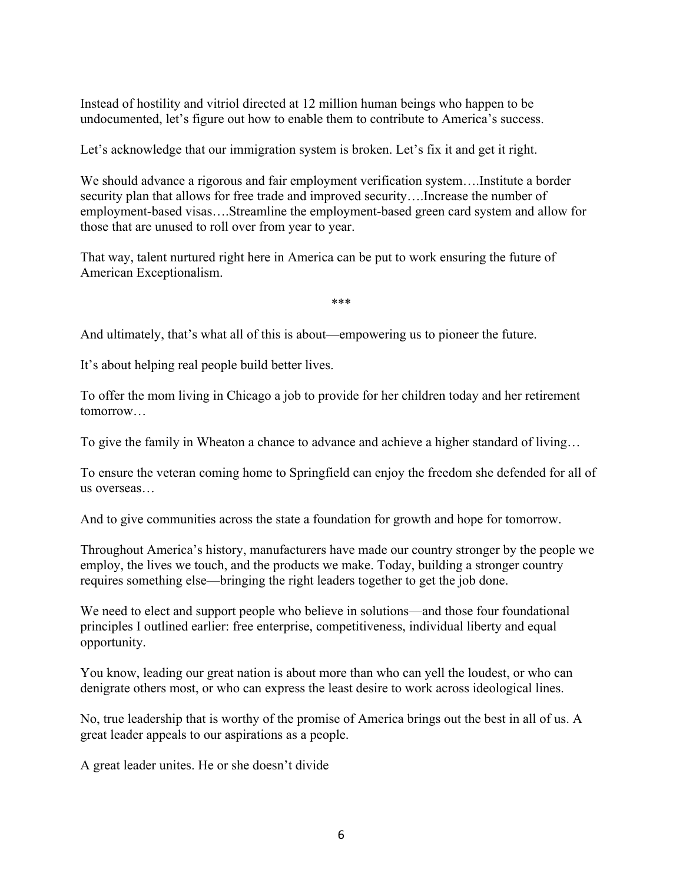Instead of hostility and vitriol directed at 12 million human beings who happen to be undocumented, let's figure out how to enable them to contribute to America's success.

Let's acknowledge that our immigration system is broken. Let's fix it and get it right.

We should advance a rigorous and fair employment verification system….Institute a border security plan that allows for free trade and improved security….Increase the number of employment-based visas….Streamline the employment-based green card system and allow for those that are unused to roll over from year to year.

That way, talent nurtured right here in America can be put to work ensuring the future of American Exceptionalism.

\*\*\*

And ultimately, that's what all of this is about—empowering us to pioneer the future.

It's about helping real people build better lives.

To offer the mom living in Chicago a job to provide for her children today and her retirement tomorrow…

To give the family in Wheaton a chance to advance and achieve a higher standard of living…

To ensure the veteran coming home to Springfield can enjoy the freedom she defended for all of us overseas…

And to give communities across the state a foundation for growth and hope for tomorrow.

Throughout America's history, manufacturers have made our country stronger by the people we employ, the lives we touch, and the products we make. Today, building a stronger country requires something else—bringing the right leaders together to get the job done.

We need to elect and support people who believe in solutions—and those four foundational principles I outlined earlier: free enterprise, competitiveness, individual liberty and equal opportunity.

You know, leading our great nation is about more than who can yell the loudest, or who can denigrate others most, or who can express the least desire to work across ideological lines.

No, true leadership that is worthy of the promise of America brings out the best in all of us. A great leader appeals to our aspirations as a people.

A great leader unites. He or she doesn't divide